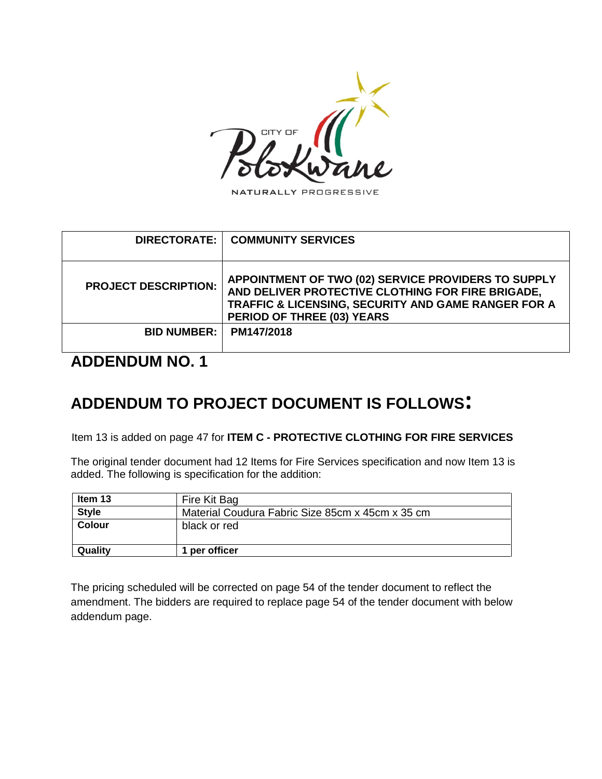

NATURALLY PROGRESSIVE

| APPOINTMENT OF TWO (02) SERVICE PROVIDERS TO SUPPLY<br>AND DELIVER PROTECTIVE CLOTHING FOR FIRE BRIGADE,<br>TRAFFIC & LICENSING, SECURITY AND GAME RANGER FOR A<br>PERIOD OF THREE (03) YEARS |
|-----------------------------------------------------------------------------------------------------------------------------------------------------------------------------------------------|
| PM147/2018                                                                                                                                                                                    |
|                                                                                                                                                                                               |

## **ADDENDUM NO. 1**

## **ADDENDUM TO PROJECT DOCUMENT IS FOLLOWS:**

Item 13 is added on page 47 for **ITEM C - PROTECTIVE CLOTHING FOR FIRE SERVICES**

The original tender document had 12 Items for Fire Services specification and now Item 13 is added. The following is specification for the addition:

| Item 13      | Fire Kit Bag                                     |  |  |  |
|--------------|--------------------------------------------------|--|--|--|
| <b>Style</b> | Material Coudura Fabric Size 85cm x 45cm x 35 cm |  |  |  |
| Colour       | black or red                                     |  |  |  |
| Quality      | per officer                                      |  |  |  |

The pricing scheduled will be corrected on page 54 of the tender document to reflect the amendment. The bidders are required to replace page 54 of the tender document with below addendum page.